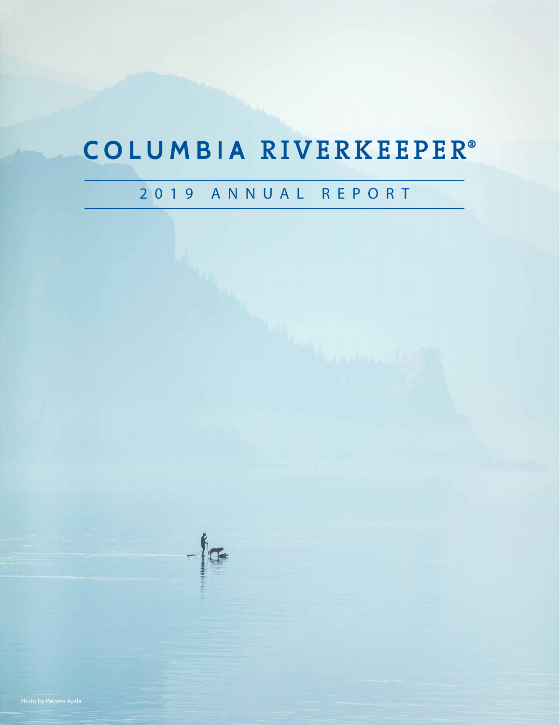### COLUMBIA RIVERKEEPER®

### 2019 ANNUAL REPORT

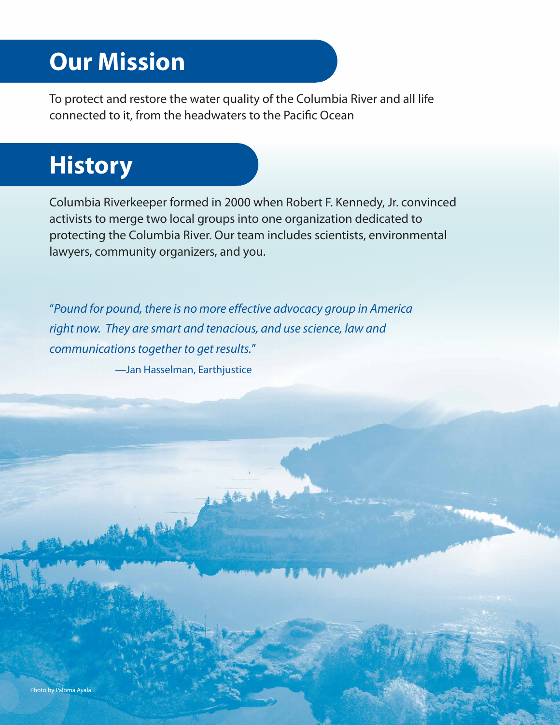### **Our Mission**

To protect and restore the water quality of the Columbia River and all life connected to it, from the headwaters to the Pacific Ocean

### **History**

Columbia Riverkeeper formed in 2000 when Robert F. Kennedy, Jr. convinced activists to merge two local groups into one organization dedicated to protecting the Columbia River. Our team includes scientists, environmental lawyers, community organizers, and you.

"*Pound for pound, there is no more effective advocacy group in America right now. They are smart and tenacious, and use science, law and communications together to get results.*"

—Jan Hasselman, Earthjustice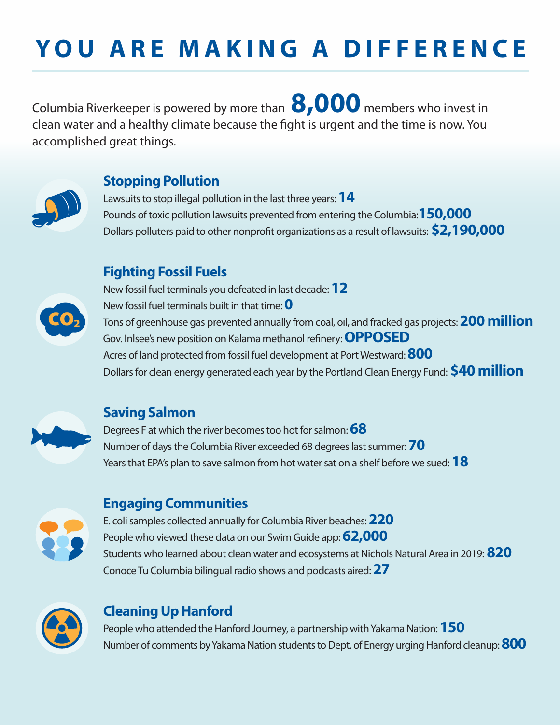# **YOU ARE MAKING A DIFFERENCE**

Columbia Riverkeeper is powered by more than **8,000** members who invest in clean water and a healthy climate because the fight is urgent and the time is now. You accomplished great things.



#### **Stopping Pollution**

Lawsuits to stop illegal pollution in the last three years:**14** Pounds of toxic pollution lawsuits prevented from entering the Columbia:**150,000** Dollars polluters paid to other nonprofit organizations as a result of lawsuits: **\$2,190,000**

#### **Fighting Fossil Fuels**

New fossil fuel terminals you defeated in last decade: **12**



New fossil fuel terminals built in that time: **0** Tons of greenhouse gas prevented annually from coal, oil, and fracked gas projects: **200 million** Gov. Inlsee's new position on Kalama methanol refinery: **OPPOSED** Acres of land protected from fossil fuel development at Port Westward: **800** Dollars for clean energy generated each year by the Portland Clean Energy Fund: **\$40 million**



#### **Saving Salmon**

Degrees F at which the river becomes too hot for salmon: **68** Number of days the Columbia River exceeded 68 degrees last summer: **70** Years that EPA's plan to save salmon from hot water sat on a shelf before we sued: **18**



#### **Engaging Communities**

E. coli samples collected annually for Columbia River beaches: **220** People who viewed these data on our Swim Guide app:**62,000** Students who learned about clean water and ecosystems at Nichols Natural Area in 2019: **820** Conoce Tu Columbia bilingual radio shows and podcasts aired: **27**



#### **Cleaning Up Hanford**

People who attended the Hanford Journey, a partnership with Yakama Nation: **150** Number of comments by Yakama Nation students to Dept. of Energy urging Hanford cleanup: **800**